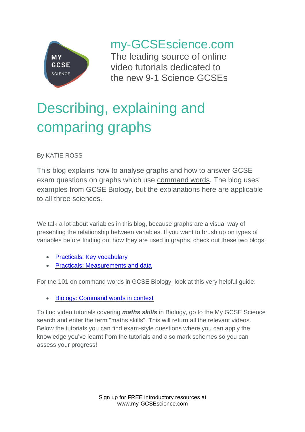

my-GCSEscience.com

The leading source of online video tutorials dedicated to the new 9-1 Science GCSEs

# Describing, explaining and comparing graphs

By KATIE ROSS

This blog explains how to analyse graphs and how to answer GCSE exam questions on graphs which use command words. The blog uses examples from GCSE Biology, but the explanations here are applicable to all three sciences.

We talk a lot about variables in this blog, because graphs are a visual way of presenting the relationship between variables. If you want to brush up on types of variables before finding out how they are used in graphs, check out these two blogs:

- [Practicals: Key vocabulary](https://www.my-gcsescience.com/practicals-key-vocabulary/)
- [Practicals: Measurements and data](https://www.my-gcsescience.com/practicals-measurements-data/)

For the 101 on command words in GCSE Biology, look at this very helpful guide:

• [Biology: Command words in context](https://www.my-gcsescience.com/biology-command-words-context/)

To find video tutorials covering *maths skills* in Biology, go to the My GCSE Science search and enter the term "maths skills". This will return all the relevant videos. Below the tutorials you can find exam-style questions where you can apply the knowledge you've learnt from the tutorials and also mark schemes so you can assess your progress!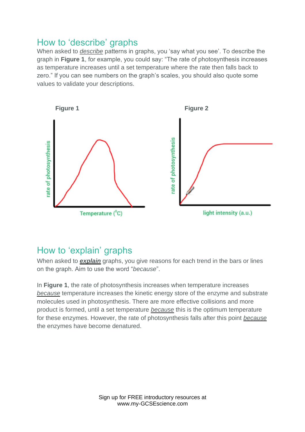## How to 'describe' graphs

When asked to *describe* patterns in graphs, you 'say what you see'. To describe the graph in **Figure 1**, for example, you could say: "The rate of photosynthesis increases as temperature increases until a set temperature where the rate then falls back to zero." If you can see numbers on the graph's scales, you should also quote some values to validate your descriptions.



# How to 'explain' graphs

When asked to *explain* graphs, you give reasons for each trend in the bars or lines on the graph. Aim to use the word "*because*".

In **Figure 1**, the rate of photosynthesis increases when temperature increases *because* temperature increases the kinetic energy store of the enzyme and substrate molecules used in photosynthesis. There are more effective collisions and more product is formed, until a set temperature *because* this is the optimum temperature for these enzymes. However, the rate of photosynthesis falls after this point *because* the enzymes have become denatured.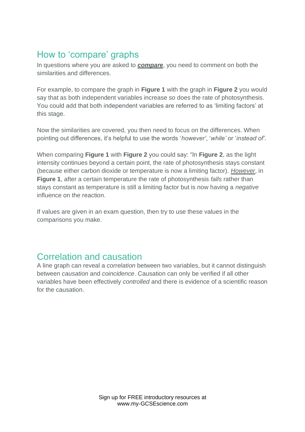# How to 'compare' graphs

In questions where you are asked to *compare*, you need to comment on both the similarities and differences.

For example, to compare the graph in **Figure 1** with the graph in **Figure 2** you would say that as both independent variables increase so does the rate of photosynthesis. You could add that both independent variables are referred to as 'limiting factors' at this stage.

Now the similarities are covered, you then need to focus on the differences. When pointing out differences, it's helpful to use the words '*however'*, '*while'* or '*instead of'*.

When comparing **Figure 1** with **Figure 2** you could say: "In **Figure 2**, as the light intensity continues beyond a certain point, the rate of photosynthesis stays constant (because either carbon dioxide or temperature is now a limiting factor). *However*, in **Figure 1**, after a certain temperature the rate of photosynthesis *falls* rather than stays constant as temperature is still a limiting factor but is now having a *negative* influence on the reaction.

If values are given in an exam question, then try to use these values in the comparisons you make.

### Correlation and causation

A line graph can reveal a *correlation* between two variables, but it cannot distinguish between *causation* and *coincidence*. Causation can only be verified if all other variables have been effectively *controlled* and there is evidence of a scientific reason for the causation.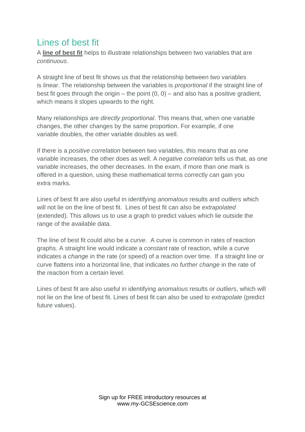# Lines of best fit

A **line of best fit** helps to illustrate relationships between two variables that are *continuous*.

A straight line of best fit shows us that the relationship between two variables is *linear*. The relationship between the variables is *proportional* if the straight line of best fit goes through the origin – the point  $(0, 0)$  – and also has a positive gradient, which means it slopes upwards to the right.

Many relationships are *directly proportional*. This means that, when one variable changes, the other changes by the same proportion. For example, if one variable doubles, the other variable doubles as well.

If there is a *positive correlation* between two variables, this means that as one variable increases, the other does as well. A *negative correlation* tells us that, as one variable increases, the other decreases. In the exam, if more than one mark is offered in a question, using these mathematical terms correctly can gain you extra marks.

Lines of best fit are also useful in identifying *anomalous* results and *outliers* which will not lie on the line of best fit. Lines of best fit can also be *extrapolated* (extended). This allows us to use a graph to predict values which lie outside the range of the available data.

The line of best fit could also be a *curve*. A curve is common in rates of reaction graphs. A straight line would indicate a *constant* rate of reaction, while a curve indicates a *change* in the rate (or speed) of a reaction over time. If a straight line or curve flattens into a horizontal line, that indicates *no further change* in the rate of the reaction from a certain level.

Lines of best fit are also useful in identifying *anomalous* results or *outliers*, which will not lie on the line of best fit. Lines of best fit can also be used to *extrapolate* (predict future values).